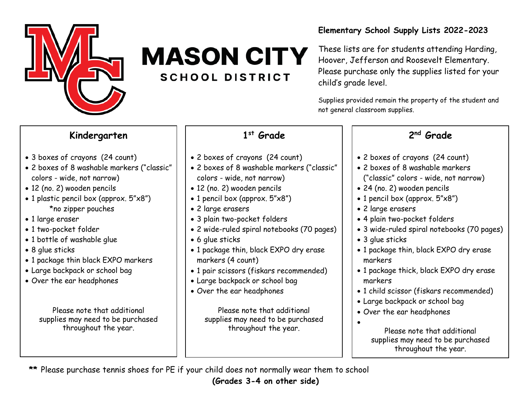

# **MASON CITY SCHOOL DISTRICT**

#### **Elementary School Supply Lists 2022-2023**

These lists are for students attending Harding, Hoover, Jefferson and Roosevelt Elementary. Please purchase only the supplies listed for your child's grade level.

Supplies provided remain the property of the student and not general classroom supplies.

#### **Kindergarten**

- 3 boxes of crayons (24 count)
- 2 boxes of 8 washable markers ("classic" colors - wide, not narrow)
- 12 (no. 2) wooden pencils
- 1 plastic pencil box (approx. 5"x8") \*no zipper pouches
- 1 large eraser
- 1 two-pocket folder
- 1 bottle of washable glue
- 8 glue sticks
- 1 package thin black EXPO markers
- Large backpack or school bag
- Over the ear headphones

Please note that additional supplies may need to be purchased throughout the year.

### **1 st Grade**

- 2 boxes of crayons (24 count)
- 2 boxes of 8 washable markers ("classic" colors - wide, not narrow)
- 12 (no. 2) wooden pencils
- 1 pencil box (approx. 5"x8")
- 2 large erasers
- 3 plain two-pocket folders
- 2 wide-ruled spiral notebooks (70 pages)
- 6 glue sticks
- 1 package thin, black EXPO dry erase markers (4 count)
- 1 pair scissors (fiskars recommended)
- Large backpack or school bag
- Over the ear headphones

Please note that additional supplies may need to be purchased throughout the year.

### **2 nd Grade**

- 2 boxes of crayons (24 count)
- 2 boxes of 8 washable markers
- ("classic" colors wide, not narrow)
- 24 (no. 2) wooden pencils
- 1 pencil box (approx. 5"x8")
- 2 large erasers
- 4 plain two-pocket folders
- 3 wide-ruled spiral notebooks (70 pages)
- 3 glue sticks
- 1 package thin, black EXPO dry erase markers
- 1 package thick, black EXPO dry erase markers
- 1 child scissor (fiskars recommended)
- Large backpack or school bag
- Over the ear headphones
	-

•

Please note that additional supplies may need to be purchased throughout the year.

**\*\*** Please purchase tennis shoes for PE if your child does not normally wear them to school

**(Grades 3-4 on other side)**